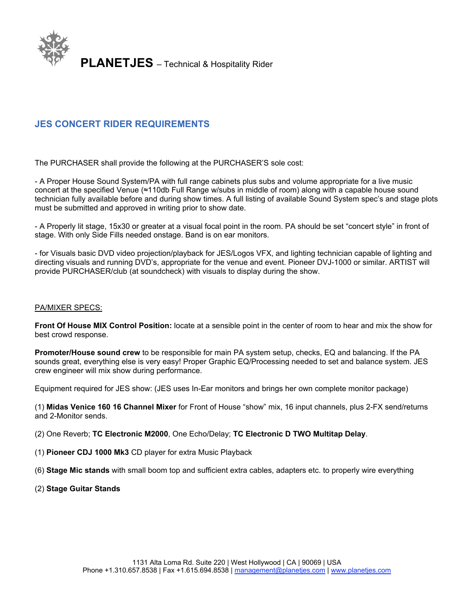

# **JES CONCERT RIDER REQUIREMENTS**

The PURCHASER shall provide the following at the PURCHASER'S sole cost:

- A Proper House Sound System/PA with full range cabinets plus subs and volume appropriate for a live music concert at the specified Venue (≈110db Full Range w/subs in middle of room) along with a capable house sound technician fully available before and during show times. A full listing of available Sound System spec's and stage plots must be submitted and approved in writing prior to show date.

- A Properly lit stage, 15x30 or greater at a visual focal point in the room. PA should be set "concert style" in front of stage. With only Side Fills needed onstage. Band is on ear monitors.

- for Visuals basic DVD video projection/playback for JES/Logos VFX, and lighting technician capable of lighting and directing visuals and running DVD's, appropriate for the venue and event. Pioneer DVJ-1000 or similar. ARTIST will provide PURCHASER/club (at soundcheck) with visuals to display during the show.

#### PA/MIXER SPECS:

**Front Of House MIX Control Position:** locate at a sensible point in the center of room to hear and mix the show for best crowd response.

**Promoter/House sound crew** to be responsible for main PA system setup, checks, EQ and balancing. If the PA sounds great, everything else is very easy! Proper Graphic EQ/Processing needed to set and balance system. JES crew engineer will mix show during performance.

Equipment required for JES show: (JES uses In-Ear monitors and brings her own complete monitor package)

(1) **Midas Venice 160 16 Channel Mixer** for Front of House "show" mix, 16 input channels, plus 2-FX send/returns and 2-Monitor sends.

(2) One Reverb; **TC Electronic M2000**, One Echo/Delay; **TC Electronic D TWO Multitap Delay**.

- (1) **Pioneer CDJ 1000 Mk3** CD player for extra Music Playback
- (6) **Stage Mic stands** with small boom top and sufficient extra cables, adapters etc. to properly wire everything
- (2) **Stage Guitar Stands**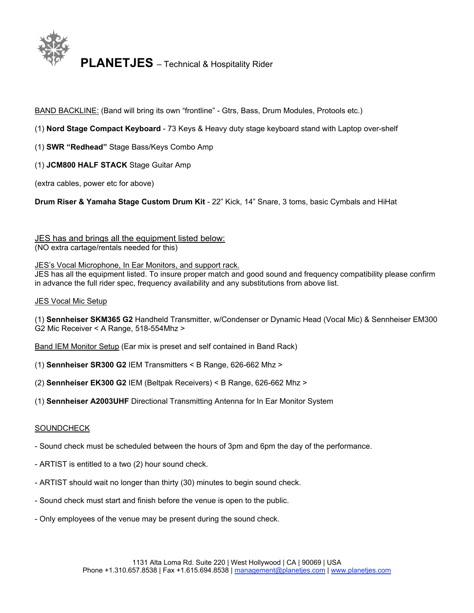

BAND BACKLINE: (Band will bring its own "frontline" - Gtrs, Bass, Drum Modules, Protools etc.)

# (1) **Nord Stage Compact Keyboard** - 73 Keys & Heavy duty stage keyboard stand with Laptop over-shelf

- (1) **SWR "Redhead"** Stage Bass/Keys Combo Amp
- (1) **JCM800 HALF STACK** Stage Guitar Amp

(extra cables, power etc for above)

**Drum Riser & Yamaha Stage Custom Drum Kit** - 22" Kick, 14" Snare, 3 toms, basic Cymbals and HiHat

JES has and brings all the equipment listed below:

(NO extra cartage/rentals needed for this)

# JES's Vocal Microphone, In Ear Monitors, and support rack.

JES has all the equipment listed. To insure proper match and good sound and frequency compatibility please confirm in advance the full rider spec, frequency availability and any substitutions from above list.

#### JES Vocal Mic Setup

(1) **Sennheiser SKM365 G2** Handheld Transmitter, w/Condenser or Dynamic Head (Vocal Mic) & Sennheiser EM300 G2 Mic Receiver < A Range, 518-554Mhz >

Band IEM Monitor Setup (Ear mix is preset and self contained in Band Rack)

- (1) **Sennheiser SR300 G2** IEM Transmitters < B Range, 626-662 Mhz >
- (2) **Sennheiser EK300 G2** IEM (Beltpak Receivers) < B Range, 626-662 Mhz >
- (1) **Sennheiser A2003UHF** Directional Transmitting Antenna for In Ear Monitor System

## **SOUNDCHECK**

- Sound check must be scheduled between the hours of 3pm and 6pm the day of the performance.
- ARTIST is entitled to a two (2) hour sound check.
- ARTIST should wait no longer than thirty (30) minutes to begin sound check.
- Sound check must start and finish before the venue is open to the public.
- Only employees of the venue may be present during the sound check.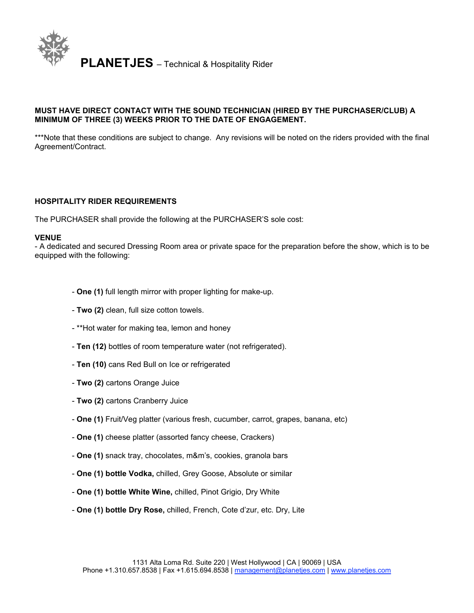

# **MUST HAVE DIRECT CONTACT WITH THE SOUND TECHNICIAN (HIRED BY THE PURCHASER/CLUB) A MINIMUM OF THREE (3) WEEKS PRIOR TO THE DATE OF ENGAGEMENT.**

\*\*\*Note that these conditions are subject to change. Any revisions will be noted on the riders provided with the final Agreement/Contract.

#### **HOSPITALITY RIDER REQUIREMENTS**

The PURCHASER shall provide the following at the PURCHASER'S sole cost:

#### **VENUE**

- A dedicated and secured Dressing Room area or private space for the preparation before the show, which is to be equipped with the following:

- **One (1)** full length mirror with proper lighting for make-up.
- **Two (2)** clean, full size cotton towels.
- \*\*Hot water for making tea, lemon and honey
- **Ten (12)** bottles of room temperature water (not refrigerated).
- **Ten (10)** cans Red Bull on Ice or refrigerated
- **Two (2)** cartons Orange Juice
- **Two (2)** cartons Cranberry Juice
- **One (1)** Fruit/Veg platter (various fresh, cucumber, carrot, grapes, banana, etc)
- **One (1)** cheese platter (assorted fancy cheese, Crackers)
- **One (1)** snack tray, chocolates, m&m's, cookies, granola bars
- **One (1) bottle Vodka,** chilled, Grey Goose, Absolute or similar
- **One (1) bottle White Wine,** chilled, Pinot Grigio, Dry White
- **One (1) bottle Dry Rose,** chilled, French, Cote d'zur, etc. Dry, Lite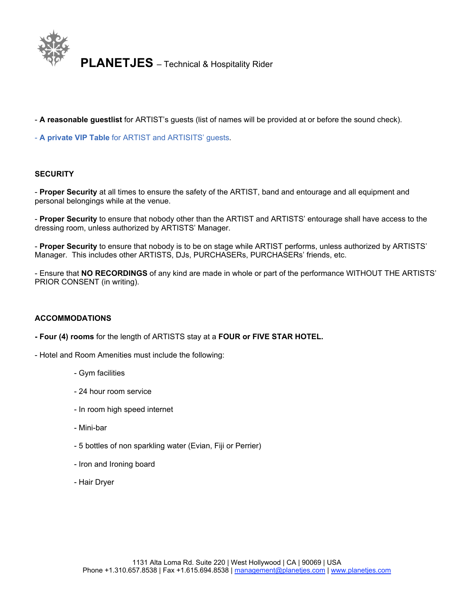

- **A reasonable guestlist** for ARTIST's guests (list of names will be provided at or before the sound check).

- **A private VIP Table** for ARTIST and ARTISITS' guests.

## **SECURITY**

- **Proper Security** at all times to ensure the safety of the ARTIST, band and entourage and all equipment and personal belongings while at the venue.

- **Proper Security** to ensure that nobody other than the ARTIST and ARTISTS' entourage shall have access to the dressing room, unless authorized by ARTISTS' Manager.

- **Proper Security** to ensure that nobody is to be on stage while ARTIST performs, unless authorized by ARTISTS' Manager. This includes other ARTISTS, DJs, PURCHASERs, PURCHASERs' friends, etc.

- Ensure that **NO RECORDINGS** of any kind are made in whole or part of the performance WITHOUT THE ARTISTS' PRIOR CONSENT (in writing).

#### **ACCOMMODATIONS**

**- Four (4) rooms** for the length of ARTISTS stay at a **FOUR or FIVE STAR HOTEL.**

- Hotel and Room Amenities must include the following:

- Gym facilities
- 24 hour room service
- In room high speed internet
- Mini-bar
- 5 bottles of non sparkling water (Evian, Fiji or Perrier)
- Iron and Ironing board
- Hair Dryer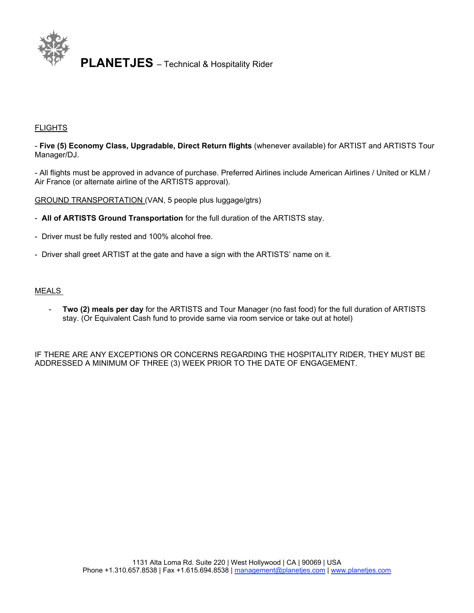

#### **FLIGHTS**

- **Five (5) Economy Class, Upgradable, Direct Return flights** (whenever available) for ARTIST and ARTISTS Tour Manager/DJ.

- All flights must be approved in advance of purchase. Preferred Airlines include American Airlines / United or KLM / Air France (or alternate airline of the ARTISTS approval).

GROUND TRANSPORTATION (VAN, 5 people plus luggage/gtrs)

- **All of ARTISTS Ground Transportation** for the full duration of the ARTISTS stay.
- Driver must be fully rested and 100% alcohol free.
- Driver shall greet ARTIST at the gate and have a sign with the ARTISTS' name on it.

#### MEALS

- **Two (2) meals per day** for the ARTISTS and Tour Manager (no fast food) for the full duration of ARTISTS stay. (Or Equivalent Cash fund to provide same via room service or take out at hotel)

IF THERE ARE ANY EXCEPTIONS OR CONCERNS REGARDING THE HOSPITALITY RIDER, THEY MUST BE ADDRESSED A MINIMUM OF THREE (3) WEEK PRIOR TO THE DATE OF ENGAGEMENT.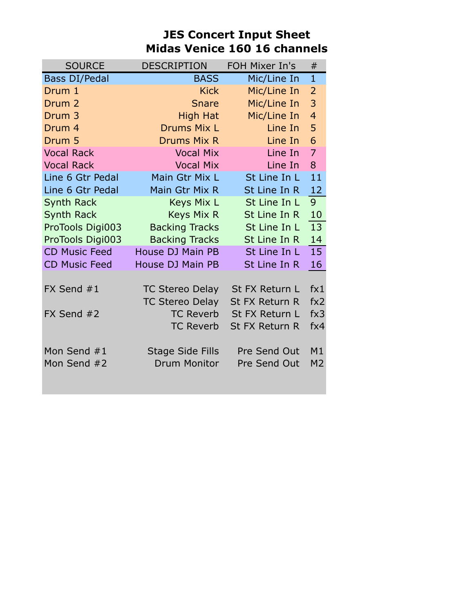# **JES Concert Input Sheet Midas Venice 160 16 channels**

| <b>SOURCE</b>        | <b>DESCRIPTION</b>     | FOH Mixer In's | #              |
|----------------------|------------------------|----------------|----------------|
| <b>Bass DI/Pedal</b> | <b>BASS</b>            | Mic/Line In    | $\mathbf{1}$   |
| Drum 1               | <b>Kick</b>            | Mic/Line In    | $\overline{2}$ |
| Drum <sub>2</sub>    | <b>Snare</b>           | Mic/Line In    | 3              |
| Drum 3               | <b>High Hat</b>        | Mic/Line In    | $\overline{4}$ |
| Drum <sub>4</sub>    | Drums Mix L            | Line In        | 5              |
| Drum 5               | <b>Drums Mix R</b>     | Line In        | 6              |
| <b>Vocal Rack</b>    | <b>Vocal Mix</b>       | Line In        | $\overline{7}$ |
| <b>Vocal Rack</b>    | <b>Vocal Mix</b>       | Line In        | 8              |
| Line 6 Gtr Pedal     | Main Gtr Mix L         | St Line In L   | 11             |
| Line 6 Gtr Pedal     | Main Gtr Mix R         | St Line In R   | 12             |
| <b>Synth Rack</b>    | Keys Mix L             | St Line In L   | 9 <sup>°</sup> |
| <b>Synth Rack</b>    | <b>Keys Mix R</b>      | St Line In R   | 10             |
| ProTools Digi003     | <b>Backing Tracks</b>  | St Line In L   | 13             |
| ProTools Digi003     | <b>Backing Tracks</b>  | St Line In R   | 14             |
| <b>CD Music Feed</b> | House DJ Main PB       | St Line In L   | 15             |
| <b>CD Music Feed</b> | House DJ Main PB       | St Line In R   | 16             |
|                      |                        |                |                |
| FX Send #1           | <b>TC Stereo Delay</b> | St FX Return L | fx1            |
|                      | <b>TC Stereo Delay</b> | St FX Return R | fx2            |
| FX Send #2           | <b>TC Reverb</b>       | St FX Return L | fx3            |
|                      | <b>TC Reverb</b>       | St FX Return R | fx4            |
|                      |                        |                |                |
| Mon Send #1          | Stage Side Fills       | Pre Send Out   | M1             |
| Mon Send #2          | <b>Drum Monitor</b>    | Pre Send Out   | M <sub>2</sub> |
|                      |                        |                |                |